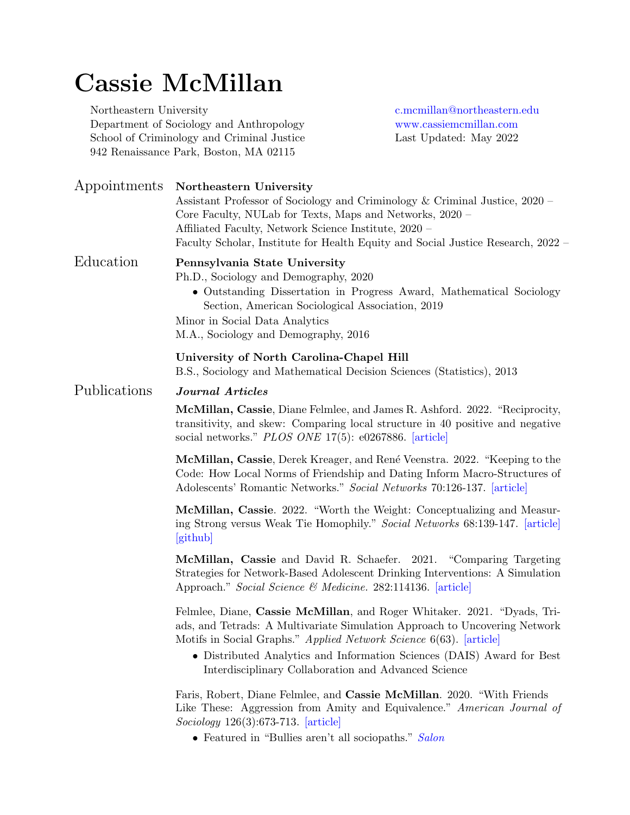# Cassie McMillan

Northeastern University [c.mcmillan@northeastern.edu](mailto:mcmillan@psu.edu) Department of Sociology and Anthropology <www.cassiemcmillan.com> School of Criminology and Criminal Justice Last Updated: May 2022 942 Renaissance Park, Boston, MA 02115

| Appointments | Northeastern University<br>Assistant Professor of Sociology and Criminology & Criminal Justice, 2020 –<br>Core Faculty, NULab for Texts, Maps and Networks, 2020 –<br>Affiliated Faculty, Network Science Institute, 2020 -<br>Faculty Scholar, Institute for Health Equity and Social Justice Research, 2022 –                                               |
|--------------|---------------------------------------------------------------------------------------------------------------------------------------------------------------------------------------------------------------------------------------------------------------------------------------------------------------------------------------------------------------|
| Education    | Pennsylvania State University<br>Ph.D., Sociology and Demography, 2020<br>• Outstanding Dissertation in Progress Award, Mathematical Sociology<br>Section, American Sociological Association, 2019<br>Minor in Social Data Analytics<br>M.A., Sociology and Demography, 2016                                                                                  |
|              | University of North Carolina-Chapel Hill<br>B.S., Sociology and Mathematical Decision Sciences (Statistics), 2013                                                                                                                                                                                                                                             |
| Publications | Journal Articles                                                                                                                                                                                                                                                                                                                                              |
|              | McMillan, Cassie, Diane Felmlee, and James R. Ashford. 2022. "Reciprocity,<br>transitivity, and skew: Comparing local structure in 40 positive and negative<br>social networks." PLOS ONE 17(5): e0267886. [article]                                                                                                                                          |
|              | McMillan, Cassie, Derek Kreager, and René Veenstra. 2022. "Keeping to the<br>Code: How Local Norms of Friendship and Dating Inform Macro-Structures of<br>Adolescents' Romantic Networks." Social Networks 70:126-137. [article]                                                                                                                              |
|              | <b>McMillan, Cassie.</b> 2022. "Worth the Weight: Conceptualizing and Measur-<br>ing Strong versus Weak Tie Homophily." Social Networks 68:139-147. [article]<br>[github]                                                                                                                                                                                     |
|              | McMillan, Cassie and David R. Schaefer. 2021. "Comparing Targeting<br>Strategies for Network-Based Adolescent Drinking Interventions: A Simulation<br>Approach." Social Science & Medicine. 282:114136. [article]                                                                                                                                             |
|              | Felmlee, Diane, Cassie McMillan, and Roger Whitaker. 2021. "Dyads, Tri-<br>ads, and Tetrads: A Multivariate Simulation Approach to Uncovering Network<br>Motifs in Social Graphs." Applied Network Science 6(63). [article]<br>• Distributed Analytics and Information Sciences (DAIS) Award for Best<br>Interdisciplinary Collaboration and Advanced Science |
|              | Faris, Robert, Diane Felmlee, and Cassie McMillan. 2020. "With Friends<br>Like These: Aggression from Amity and Equivalence." American Journal of<br>$Sociology$ 126(3):673-713. [article]<br>• Featured in "Bullies aren't all sociopaths." Salon                                                                                                            |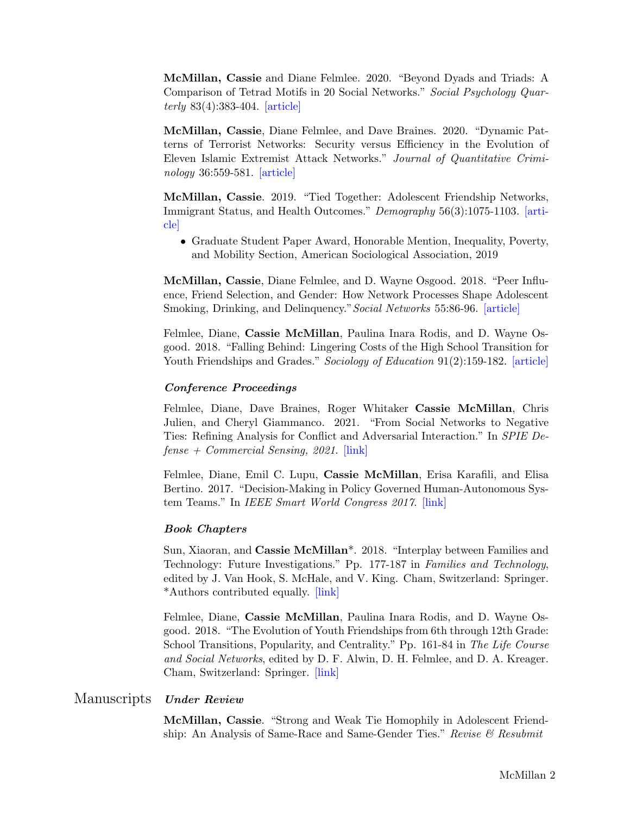McMillan, Cassie and Diane Felmlee. 2020. "Beyond Dyads and Triads: A Comparison of Tetrad Motifs in 20 Social Networks." Social Psychology Quarterly 83(4):383-404. [\[article\]](https://journals.sagepub.com/doi/abs/10.1177/0190272520944151)

McMillan, Cassie, Diane Felmlee, and Dave Braines. 2020. "Dynamic Patterns of Terrorist Networks: Security versus Efficiency in the Evolution of Eleven Islamic Extremist Attack Networks." Journal of Quantitative Criminology 36:559-581. [\[article\]](https://link.springer.com/article/10.1007/s10940-019-09426-9)

McMillan, Cassie. 2019. "Tied Together: Adolescent Friendship Networks, Immigrant Status, and Health Outcomes." Demography 56(3):1075-1103. [\[arti](https://link.springer.com/article/10.1007/s13524-019-00770-w)[cle\]](https://link.springer.com/article/10.1007/s13524-019-00770-w)

• Graduate Student Paper Award, Honorable Mention, Inequality, Poverty, and Mobility Section, American Sociological Association, 2019

McMillan, Cassie, Diane Felmlee, and D. Wayne Osgood. 2018. "Peer Influence, Friend Selection, and Gender: How Network Processes Shape Adolescent Smoking, Drinking, and Delinquency."Social Networks 55:86-96. [\[article\]](https://www.sciencedirect.com/science/article/pii/S037887331730494X)

Felmlee, Diane, Cassie McMillan, Paulina Inara Rodis, and D. Wayne Osgood. 2018. "Falling Behind: Lingering Costs of the High School Transition for Youth Friendships and Grades." Sociology of Education 91(2):159-182. [\[article\]](https://journals.sagepub.com/doi/abs/10.1177/0038040718762136)

#### Conference Proceedings

Felmlee, Diane, Dave Braines, Roger Whitaker Cassie McMillan, Chris Julien, and Cheryl Giammanco. 2021. "From Social Networks to Negative Ties: Refining Analysis for Conflict and Adversarial Interaction." In SPIE De $fense + Commercial Sensing, 2021$ . [\[link\]](https://www.spiedigitallibrary.org/conference-proceedings-of-spie/11746/117461Y/From-social-networks-to-negative-ties--refining-analysis-for/10.1117/12.2587501.full?SSO=1)

Felmlee, Diane, Emil C. Lupu, Cassie McMillan, Erisa Karafili, and Elisa Bertino. 2017. "Decision-Making in Policy Governed Human-Autonomous System Teams." In IEEE Smart World Congress 2017. [\[link\]](https://ieeexplore.ieee.org/abstract/document/8397419)

#### Book Chapters

Sun, Xiaoran, and Cassie McMillan\*. 2018. "Interplay between Families and Technology: Future Investigations." Pp. 177-187 in Families and Technology, edited by J. Van Hook, S. McHale, and V. King. Cham, Switzerland: Springer. \*Authors contributed equally. [\[link\]](https://link.springer.com/chapter/10.1007/978-3-319-95540-7_10)

Felmlee, Diane, Cassie McMillan, Paulina Inara Rodis, and D. Wayne Osgood. 2018. "The Evolution of Youth Friendships from 6th through 12th Grade: School Transitions, Popularity, and Centrality." Pp. 161-84 in The Life Course and Social Networks, edited by D. F. Alwin, D. H. Felmlee, and D. A. Kreager. Cham, Switzerland: Springer. [\[link\]](https://link.springer.com/chapter/10.1007/978-3-319-71544-5_8)

#### Manuscripts Under Review

McMillan, Cassie. "Strong and Weak Tie Homophily in Adolescent Friendship: An Analysis of Same-Race and Same-Gender Ties." Revise  $\mathcal{C}$  Resubmit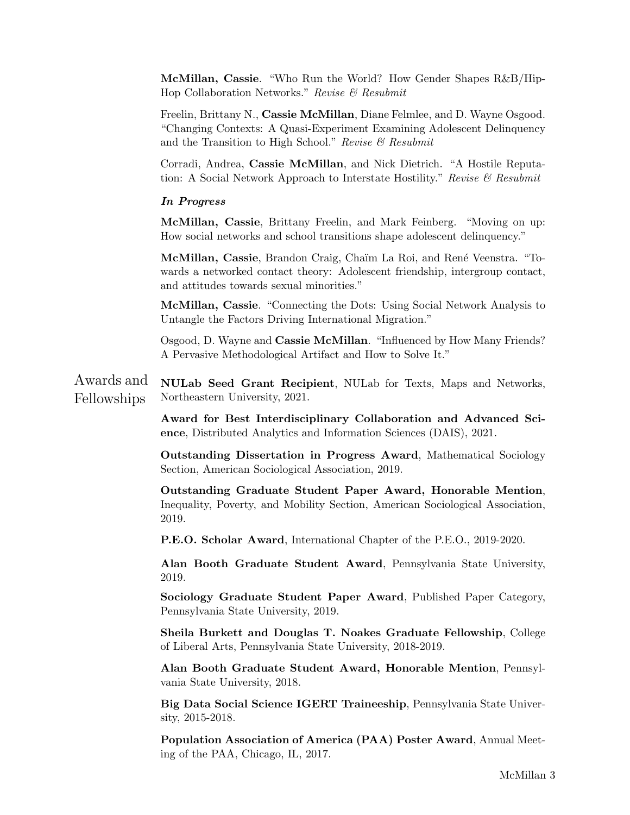McMillan, Cassie. "Who Run the World? How Gender Shapes R&B/Hip-Hop Collaboration Networks." Revise & Resubmit

Freelin, Brittany N., Cassie McMillan, Diane Felmlee, and D. Wayne Osgood. "Changing Contexts: A Quasi-Experiment Examining Adolescent Delinquency and the Transition to High School." Revise  $\mathcal B$  Resubmit

Corradi, Andrea, Cassie McMillan, and Nick Dietrich. "A Hostile Reputation: A Social Network Approach to Interstate Hostility." Revise  $\mathcal B$  Resubmit

#### In Progress

McMillan, Cassie, Brittany Freelin, and Mark Feinberg. "Moving on up: How social networks and school transitions shape adolescent delinquency."

McMillan, Cassie, Brandon Craig, Chaïm La Roi, and René Veenstra. "Towards a networked contact theory: Adolescent friendship, intergroup contact, and attitudes towards sexual minorities."

McMillan, Cassie. "Connecting the Dots: Using Social Network Analysis to Untangle the Factors Driving International Migration."

Osgood, D. Wayne and Cassie McMillan. "Influenced by How Many Friends? A Pervasive Methodological Artifact and How to Solve It."

Awards and Fellowships NULab Seed Grant Recipient, NULab for Texts, Maps and Networks, Northeastern University, 2021.

> Award for Best Interdisciplinary Collaboration and Advanced Science, Distributed Analytics and Information Sciences (DAIS), 2021.

> Outstanding Dissertation in Progress Award, Mathematical Sociology Section, American Sociological Association, 2019.

> Outstanding Graduate Student Paper Award, Honorable Mention, Inequality, Poverty, and Mobility Section, American Sociological Association, 2019.

P.E.O. Scholar Award, International Chapter of the P.E.O., 2019-2020.

Alan Booth Graduate Student Award, Pennsylvania State University, 2019.

Sociology Graduate Student Paper Award, Published Paper Category, Pennsylvania State University, 2019.

Sheila Burkett and Douglas T. Noakes Graduate Fellowship, College of Liberal Arts, Pennsylvania State University, 2018-2019.

Alan Booth Graduate Student Award, Honorable Mention, Pennsylvania State University, 2018.

Big Data Social Science IGERT Traineeship, Pennsylvania State University, 2015-2018.

Population Association of America (PAA) Poster Award, Annual Meeting of the PAA, Chicago, IL, 2017.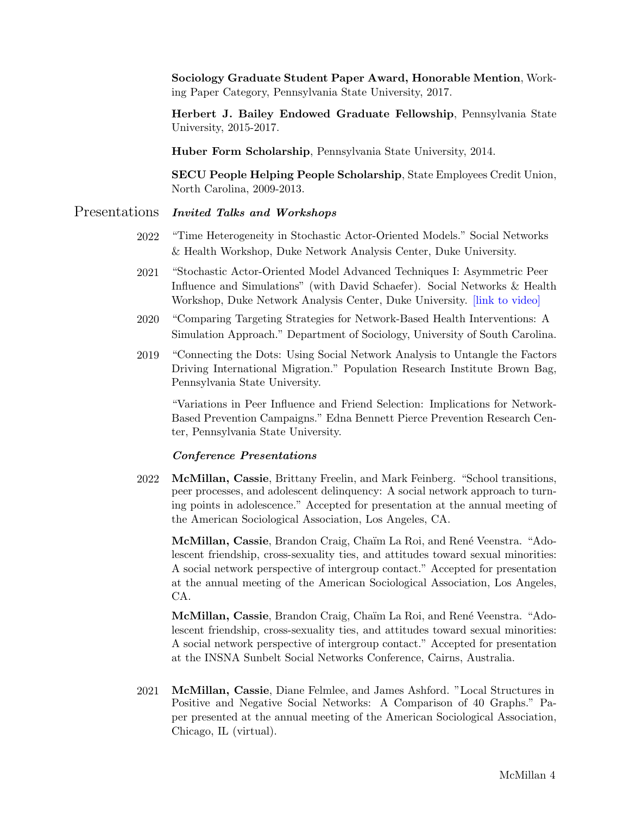Sociology Graduate Student Paper Award, Honorable Mention, Working Paper Category, Pennsylvania State University, 2017.

Herbert J. Bailey Endowed Graduate Fellowship, Pennsylvania State University, 2015-2017.

Huber Form Scholarship, Pennsylvania State University, 2014.

SECU People Helping People Scholarship, State Employees Credit Union, North Carolina, 2009-2013.

## Presentations Invited Talks and Workshops

- 2022 "Time Heterogeneity in Stochastic Actor-Oriented Models." Social Networks & Health Workshop, Duke Network Analysis Center, Duke University.
- 2021 "Stochastic Actor-Oriented Model Advanced Techniques I: Asymmetric Peer Influence and Simulations" (with David Schaefer). Social Networks & Health Workshop, Duke Network Analysis Center, Duke University. [\[link to video\]](https://www.youtube.com/watch?v=zZJrFFFS_HA)
- 2020 "Comparing Targeting Strategies for Network-Based Health Interventions: A Simulation Approach." Department of Sociology, University of South Carolina.
- 2019 "Connecting the Dots: Using Social Network Analysis to Untangle the Factors Driving International Migration." Population Research Institute Brown Bag, Pennsylvania State University.

"Variations in Peer Influence and Friend Selection: Implications for Network-Based Prevention Campaigns." Edna Bennett Pierce Prevention Research Center, Pennsylvania State University.

#### Conference Presentations

2022 McMillan, Cassie, Brittany Freelin, and Mark Feinberg. "School transitions, peer processes, and adolescent delinquency: A social network approach to turning points in adolescence." Accepted for presentation at the annual meeting of the American Sociological Association, Los Angeles, CA.

McMillan, Cassie, Brandon Craig, Chaïm La Roi, and René Veenstra. "Adolescent friendship, cross-sexuality ties, and attitudes toward sexual minorities: A social network perspective of intergroup contact." Accepted for presentation at the annual meeting of the American Sociological Association, Los Angeles, CA.

McMillan, Cassie, Brandon Craig, Chaïm La Roi, and René Veenstra. "Adolescent friendship, cross-sexuality ties, and attitudes toward sexual minorities: A social network perspective of intergroup contact." Accepted for presentation at the INSNA Sunbelt Social Networks Conference, Cairns, Australia.

2021 McMillan, Cassie, Diane Felmlee, and James Ashford. "Local Structures in Positive and Negative Social Networks: A Comparison of 40 Graphs." Paper presented at the annual meeting of the American Sociological Association, Chicago, IL (virtual).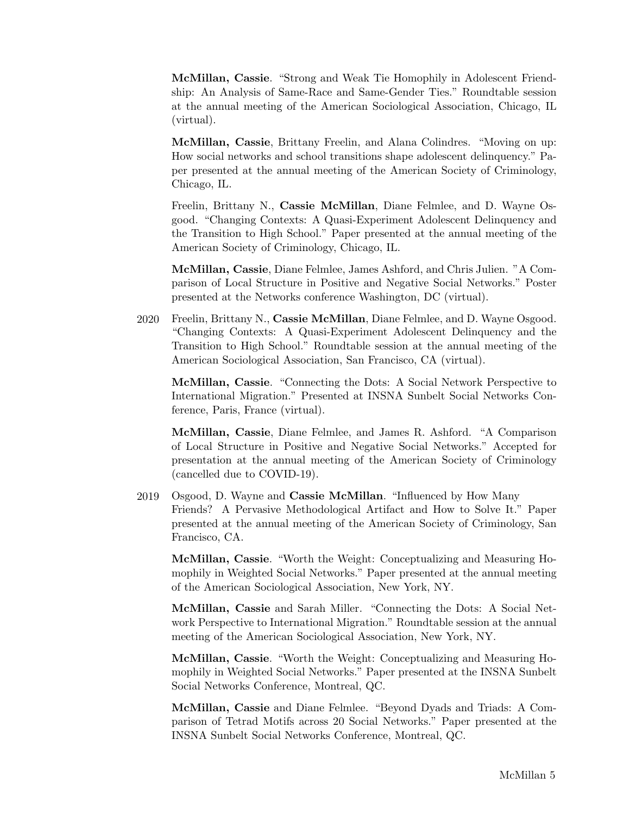McMillan, Cassie. "Strong and Weak Tie Homophily in Adolescent Friendship: An Analysis of Same-Race and Same-Gender Ties." Roundtable session at the annual meeting of the American Sociological Association, Chicago, IL (virtual).

McMillan, Cassie, Brittany Freelin, and Alana Colindres. "Moving on up: How social networks and school transitions shape adolescent delinquency." Paper presented at the annual meeting of the American Society of Criminology, Chicago, IL.

Freelin, Brittany N., Cassie McMillan, Diane Felmlee, and D. Wayne Osgood. "Changing Contexts: A Quasi-Experiment Adolescent Delinquency and the Transition to High School." Paper presented at the annual meeting of the American Society of Criminology, Chicago, IL.

McMillan, Cassie, Diane Felmlee, James Ashford, and Chris Julien. "A Comparison of Local Structure in Positive and Negative Social Networks." Poster presented at the Networks conference Washington, DC (virtual).

2020 Freelin, Brittany N., Cassie McMillan, Diane Felmlee, and D. Wayne Osgood. "Changing Contexts: A Quasi-Experiment Adolescent Delinquency and the Transition to High School." Roundtable session at the annual meeting of the American Sociological Association, San Francisco, CA (virtual).

McMillan, Cassie. "Connecting the Dots: A Social Network Perspective to International Migration." Presented at INSNA Sunbelt Social Networks Conference, Paris, France (virtual).

McMillan, Cassie, Diane Felmlee, and James R. Ashford. "A Comparison of Local Structure in Positive and Negative Social Networks." Accepted for presentation at the annual meeting of the American Society of Criminology (cancelled due to COVID-19).

2019 Osgood, D. Wayne and Cassie McMillan. "Influenced by How Many Friends? A Pervasive Methodological Artifact and How to Solve It." Paper presented at the annual meeting of the American Society of Criminology, San Francisco, CA.

McMillan, Cassie. "Worth the Weight: Conceptualizing and Measuring Homophily in Weighted Social Networks." Paper presented at the annual meeting of the American Sociological Association, New York, NY.

McMillan, Cassie and Sarah Miller. "Connecting the Dots: A Social Network Perspective to International Migration." Roundtable session at the annual meeting of the American Sociological Association, New York, NY.

McMillan, Cassie. "Worth the Weight: Conceptualizing and Measuring Homophily in Weighted Social Networks." Paper presented at the INSNA Sunbelt Social Networks Conference, Montreal, QC.

McMillan, Cassie and Diane Felmlee. "Beyond Dyads and Triads: A Comparison of Tetrad Motifs across 20 Social Networks." Paper presented at the INSNA Sunbelt Social Networks Conference, Montreal, QC.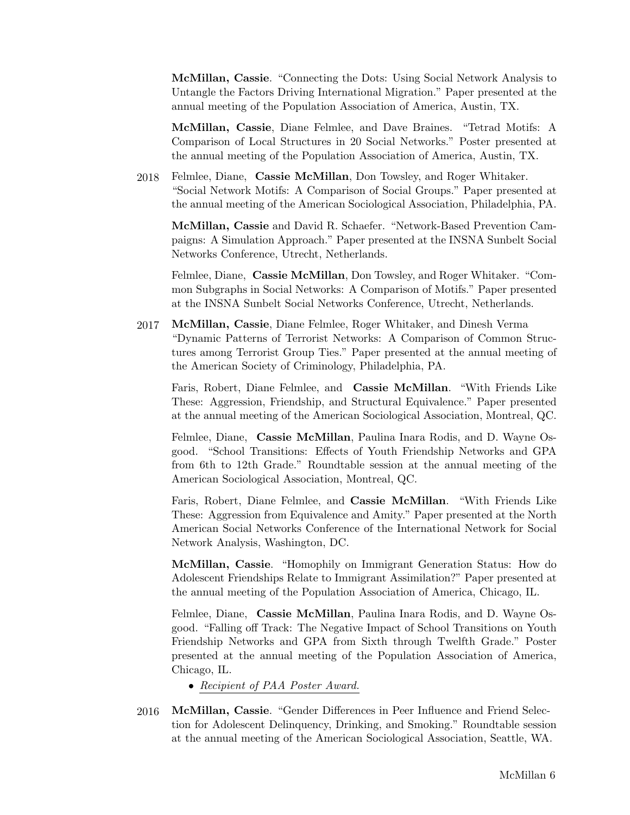McMillan, Cassie. "Connecting the Dots: Using Social Network Analysis to Untangle the Factors Driving International Migration." Paper presented at the annual meeting of the Population Association of America, Austin, TX.

McMillan, Cassie, Diane Felmlee, and Dave Braines. "Tetrad Motifs: A Comparison of Local Structures in 20 Social Networks." Poster presented at the annual meeting of the Population Association of America, Austin, TX.

2018 Felmlee, Diane, Cassie McMillan, Don Towsley, and Roger Whitaker. "Social Network Motifs: A Comparison of Social Groups." Paper presented at the annual meeting of the American Sociological Association, Philadelphia, PA.

McMillan, Cassie and David R. Schaefer. "Network-Based Prevention Campaigns: A Simulation Approach." Paper presented at the INSNA Sunbelt Social Networks Conference, Utrecht, Netherlands.

Felmlee, Diane, Cassie McMillan, Don Towsley, and Roger Whitaker. "Common Subgraphs in Social Networks: A Comparison of Motifs." Paper presented at the INSNA Sunbelt Social Networks Conference, Utrecht, Netherlands.

2017 McMillan, Cassie, Diane Felmlee, Roger Whitaker, and Dinesh Verma "Dynamic Patterns of Terrorist Networks: A Comparison of Common Structures among Terrorist Group Ties." Paper presented at the annual meeting of the American Society of Criminology, Philadelphia, PA.

Faris, Robert, Diane Felmlee, and Cassie McMillan. "With Friends Like These: Aggression, Friendship, and Structural Equivalence." Paper presented at the annual meeting of the American Sociological Association, Montreal, QC.

Felmlee, Diane, Cassie McMillan, Paulina Inara Rodis, and D. Wayne Osgood. "School Transitions: Effects of Youth Friendship Networks and GPA from 6th to 12th Grade." Roundtable session at the annual meeting of the American Sociological Association, Montreal, QC.

Faris, Robert, Diane Felmlee, and Cassie McMillan. "With Friends Like These: Aggression from Equivalence and Amity." Paper presented at the North American Social Networks Conference of the International Network for Social Network Analysis, Washington, DC.

McMillan, Cassie. "Homophily on Immigrant Generation Status: How do Adolescent Friendships Relate to Immigrant Assimilation?" Paper presented at the annual meeting of the Population Association of America, Chicago, IL.

Felmlee, Diane, Cassie McMillan, Paulina Inara Rodis, and D. Wayne Osgood. "Falling off Track: The Negative Impact of School Transitions on Youth Friendship Networks and GPA from Sixth through Twelfth Grade." Poster presented at the annual meeting of the Population Association of America, Chicago, IL.

- Recipient of PAA Poster Award.
- 2016 McMillan, Cassie. "Gender Differences in Peer Influence and Friend Selection for Adolescent Delinquency, Drinking, and Smoking." Roundtable session at the annual meeting of the American Sociological Association, Seattle, WA.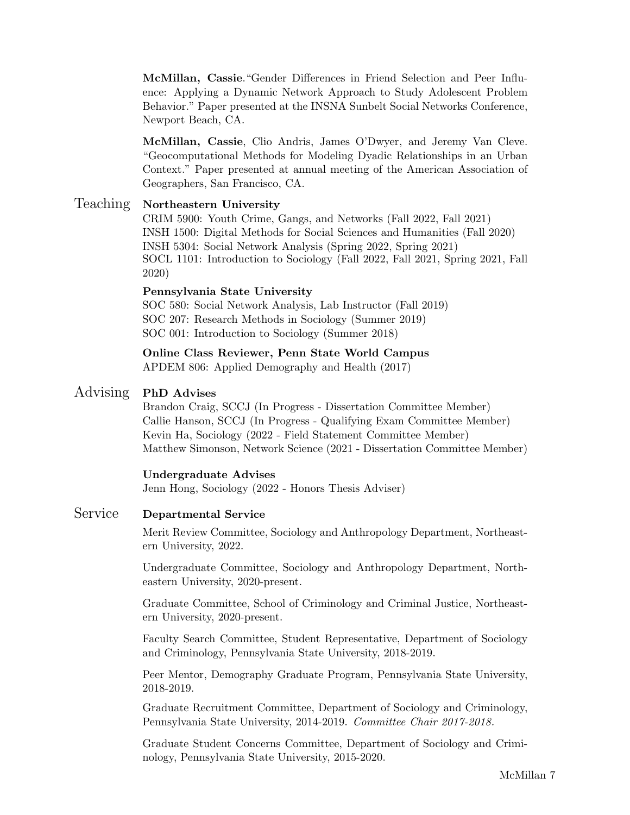McMillan, Cassie."Gender Differences in Friend Selection and Peer Influence: Applying a Dynamic Network Approach to Study Adolescent Problem Behavior." Paper presented at the INSNA Sunbelt Social Networks Conference, Newport Beach, CA.

McMillan, Cassie, Clio Andris, James O'Dwyer, and Jeremy Van Cleve. "Geocomputational Methods for Modeling Dyadic Relationships in an Urban Context." Paper presented at annual meeting of the American Association of Geographers, San Francisco, CA.

## Teaching Northeastern University

CRIM 5900: Youth Crime, Gangs, and Networks (Fall 2022, Fall 2021) INSH 1500: Digital Methods for Social Sciences and Humanities (Fall 2020) INSH 5304: Social Network Analysis (Spring 2022, Spring 2021) SOCL 1101: Introduction to Sociology (Fall 2022, Fall 2021, Spring 2021, Fall 2020)

### Pennsylvania State University

SOC 580: Social Network Analysis, Lab Instructor (Fall 2019) SOC 207: Research Methods in Sociology (Summer 2019) SOC 001: Introduction to Sociology (Summer 2018)

# Online Class Reviewer, Penn State World Campus

APDEM 806: Applied Demography and Health (2017)

## Advising PhD Advises

Brandon Craig, SCCJ (In Progress - Dissertation Committee Member) Callie Hanson, SCCJ (In Progress - Qualifying Exam Committee Member) Kevin Ha, Sociology (2022 - Field Statement Committee Member) Matthew Simonson, Network Science (2021 - Dissertation Committee Member)

## Undergraduate Advises

Jenn Hong, Sociology (2022 - Honors Thesis Adviser)

## Service Departmental Service

Merit Review Committee, Sociology and Anthropology Department, Northeastern University, 2022.

Undergraduate Committee, Sociology and Anthropology Department, Northeastern University, 2020-present.

Graduate Committee, School of Criminology and Criminal Justice, Northeastern University, 2020-present.

Faculty Search Committee, Student Representative, Department of Sociology and Criminology, Pennsylvania State University, 2018-2019.

Peer Mentor, Demography Graduate Program, Pennsylvania State University, 2018-2019.

Graduate Recruitment Committee, Department of Sociology and Criminology, Pennsylvania State University, 2014-2019. Committee Chair 2017-2018.

Graduate Student Concerns Committee, Department of Sociology and Criminology, Pennsylvania State University, 2015-2020.